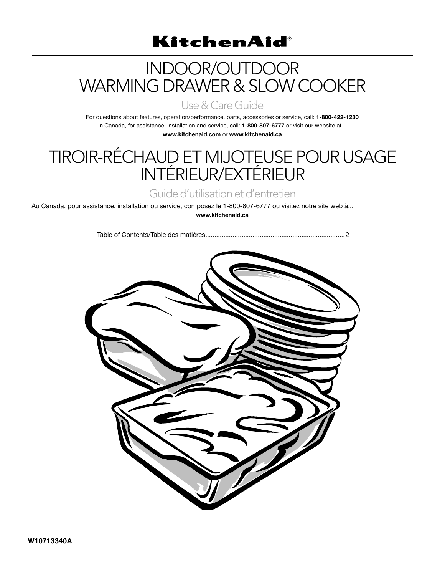

## INDOOR/OUTDOOR WARMING DRAWER & SLOW COOKER

### Use & Care Guide

For questions about features, operation/performance, parts, accessories or service, call: **1-800-422-1230** In Canada, for assistance, installation and service, call: **1-800-807-6777** or visit our website at...

**www.kitchenaid.com** or **www.kitchenaid.ca**

# TIROIR-RÉCHAUD ET MIJOTEUSE POUR USAGE INTÉRIEUR/EXTÉRIEUR

### Guide d'utilisation et d'entretien

Au Canada, pour assistance, installation ou service, composez le 1-800-807-6777 ou visitez notre site web à...

**www.kitchenaid.ca**

Table of Contents/Table des matières.............................................................................2

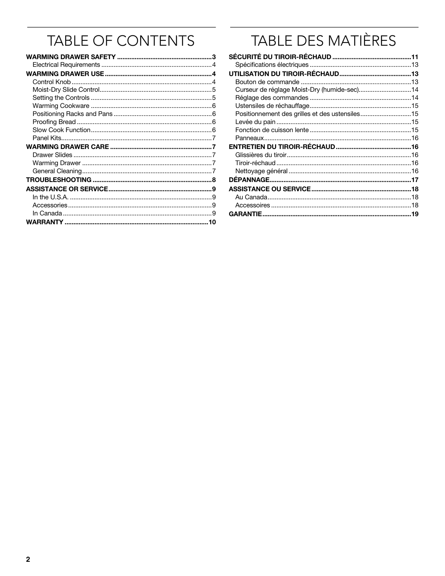## TABLE OF CONTENTS

## TABLE DES MATIÈRES

| Positionnement des grilles et des ustensiles15 |  |
|------------------------------------------------|--|
|                                                |  |
|                                                |  |
|                                                |  |
|                                                |  |
|                                                |  |
|                                                |  |
|                                                |  |
|                                                |  |
|                                                |  |
|                                                |  |
|                                                |  |
|                                                |  |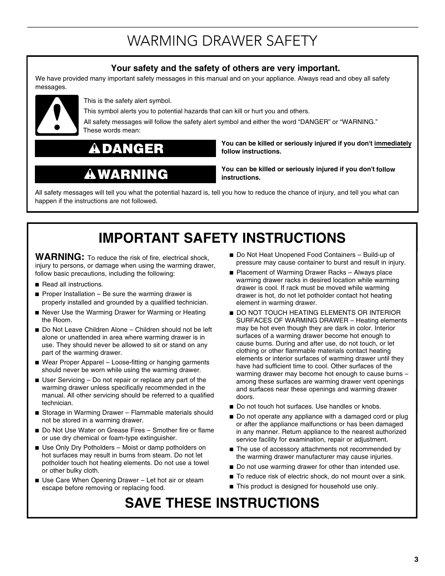## WARMING DRAWER SAFETY

### **Your safety and the safety of others are very important.**

We have provided many important safety messages in this manual and on your appliance. Always read and obey all safety messages.



This is the safety alert symbol.

This symbol alerts you to potential hazards that can kill or hurt you and others.

All safety messages will follow the safety alert symbol and either the word "DANGER" or "WARNING." These words mean:

## **DANGER**

## **WARNING**

**You can be killed or seriously injured if you don't immediately follow instructions.**

**You can be killed or seriously injured if you don't follow instructions.**

All safety messages will tell you what the potential hazard is, tell you how to reduce the chance of injury, and tell you what can happen if the instructions are not followed.

## **IMPORTANT SAFETY INSTRUCTIONS**

**WARNING:** To reduce the risk of fire, electrical shock, injury to persons, or damage when using the warming drawer, follow basic precautions, including the following:

- Read all instructions.
- $\blacksquare$  Proper Installation Be sure the warming drawer is properly installed and grounded by a qualified technician.
- Never Use the Warming Drawer for Warming or Heating the Room.
- Do Not Leave Children Alone Children should not be left alone or unattended in area where warming drawer is in use. They should never be allowed to sit or stand on any part of the warming drawer.
- Wear Proper Apparel Loose-fitting or hanging garments should never be worn while using the warming drawer.
- User Servicing Do not repair or replace any part of the warming drawer unless specifically recommended in the manual. All other servicing should be referred to a qualified technician.
- Storage in Warming Drawer Flammable materials should not be stored in a warming drawer.
- Do Not Use Water on Grease Fires Smother fire or flame or use dry chemical or foam-type extinguisher.
- Use Only Dry Potholders Moist or damp potholders on hot surfaces may result in burns from steam. Do not let potholder touch hot heating elements. Do not use a towel or other bulky cloth.
- Use Care When Opening Drawer Let hot air or steam escape before removing or replacing food.
- Do Not Heat Unopened Food Containers Build-up of pressure may cause container to burst and result in injury.
- Placement of Warming Drawer Racks Always place warming drawer racks in desired location while warming drawer is cool. If rack must be moved while warming drawer is hot, do not let potholder contact hot heating element in warming drawer.
- DO NOT TOUCH HEATING ELEMENTS OR INTERIOR SURFACES OF WARMING DRAWER – Heating elements may be hot even though they are dark in color. Interior surfaces of a warming drawer become hot enough to cause burns. During and after use, do not touch, or let clothing or other flammable materials contact heating elements or interior surfaces of warming drawer until they have had sufficient time to cool. Other surfaces of the warming drawer may become hot enough to cause burns – among these surfaces are warming drawer vent openings and surfaces near these openings and warming drawer doors.
- Do not touch hot surfaces. Use handles or knobs.
- Do not operate any appliance with a damaged cord or plug or after the appliance malfunctions or has been damaged in any manner. Return appliance to the nearest authorized service facility for examination, repair or adjustment.
- The use of accessory attachments not recommended by the warming drawer manufacturer may cause injuries.
- Do not use warming drawer for other than intended use.
- To reduce risk of electric shock, do not mount over a sink.
- This product is designed for household use only.

## **SAVE THESE INSTRUCTIONS**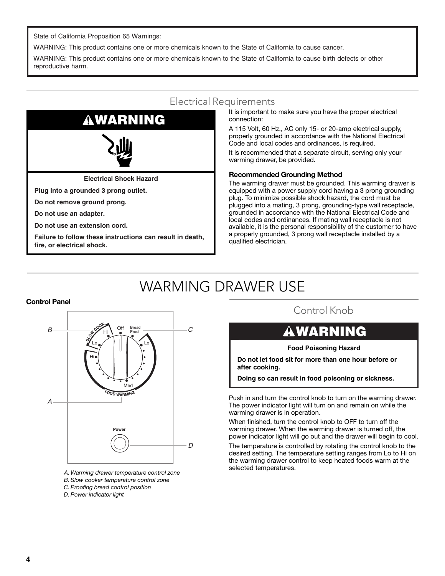State of California Proposition 65 Warnings:

WARNING: This product contains one or more chemicals known to the State of California to cause cancer.

WARNING: This product contains one or more chemicals known to the State of California to cause birth defects or other reproductive harm.



### Electrical Requirements

It is important to make sure you have the proper electrical connection:

A 115 Volt, 60 Hz., AC only 15- or 20-amp electrical supply, properly grounded in accordance with the National Electrical Code and local codes and ordinances, is required.

It is recommended that a separate circuit, serving only your warming drawer, be provided.

#### **Recommended Grounding Method**

The warming drawer must be grounded. This warming drawer is equipped with a power supply cord having a 3 prong grounding plug. To minimize possible shock hazard, the cord must be plugged into a mating, 3 prong, grounding-type wall receptacle, grounded in accordance with the National Electrical Code and local codes and ordinances. If mating wall receptacle is not available, it is the personal responsibility of the customer to have a properly grounded, 3 prong wall receptacle installed by a qualified electrician.

## WARMING DRAWER USE

#### **Control Panel**



- *A. Warming drawer temperature control zone*
- *B. Slow cooker temperature control zone C. Proofing bread control position*
- 
- *D. Power indicator light*

### Control Knob

## **WARNING**

#### **Food Poisoning Hazard**

**Do not let food sit for more than one hour before or after cooking.**

**Doing so can result in food poisoning or sickness.**

Push in and turn the control knob to turn on the warming drawer. The power indicator light will turn on and remain on while the warming drawer is in operation.

When finished, turn the control knob to OFF to turn off the warming drawer. When the warming drawer is turned off, the power indicator light will go out and the drawer will begin to cool.

The temperature is controlled by rotating the control knob to the desired setting. The temperature setting ranges from Lo to Hi on the warming drawer control to keep heated foods warm at the selected temperatures.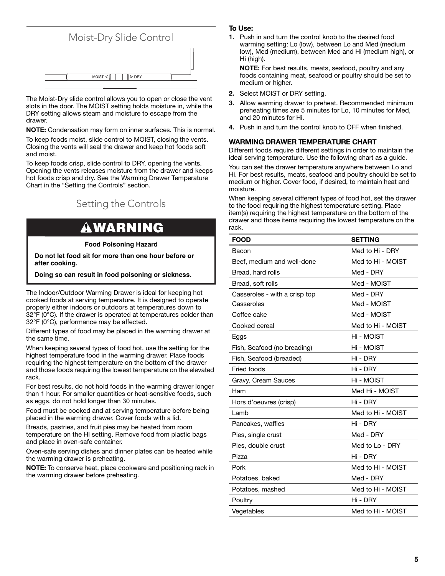

The Moist-Dry slide control allows you to open or close the vent slots in the door. The MOIST setting holds moisture in, while the DRY setting allows steam and moisture to escape from the drawer.

**NOTE:** Condensation may form on inner surfaces. This is normal.

To keep foods moist, slide control to MOIST, closing the vents. Closing the vents will seal the drawer and keep hot foods soft and moist.

To keep foods crisp, slide control to DRY, opening the vents. Opening the vents releases moisture from the drawer and keeps hot foods crisp and dry. See the Warming Drawer Temperature Chart in the "Setting the Controls" section.

Setting the Controls

## **AWARNING**

#### **Food Poisoning Hazard**

**Do not let food sit for more than one hour before or after cooking.**

**Doing so can result in food poisoning or sickness.**

The Indoor/Outdoor Warming Drawer is ideal for keeping hot cooked foods at serving temperature. It is designed to operate properly either indoors or outdoors at temperatures down to 32°F (0°C). If the drawer is operated at temperatures colder than 32°F (0°C), performance may be affected.

Different types of food may be placed in the warming drawer at the same time.

When keeping several types of food hot, use the setting for the highest temperature food in the warming drawer. Place foods requiring the highest temperature on the bottom of the drawer and those foods requiring the lowest temperature on the elevated rack.

For best results, do not hold foods in the warming drawer longer than 1 hour. For smaller quantities or heat-sensitive foods, such as eggs, do not hold longer than 30 minutes.

Food must be cooked and at serving temperature before being placed in the warming drawer. Cover foods with a lid.

Breads, pastries, and fruit pies may be heated from room temperature on the HI setting. Remove food from plastic bags and place in oven-safe container.

Oven-safe serving dishes and dinner plates can be heated while the warming drawer is preheating.

**NOTE:** To conserve heat, place cookware and positioning rack in the warming drawer before preheating.

#### **To Use:**

**1.** Push in and turn the control knob to the desired food warming setting: Lo (low), between Lo and Med (medium low), Med (medium), between Med and Hi (medium high), or Hi (high).

**NOTE:** For best results, meats, seafood, poultry and any foods containing meat, seafood or poultry should be set to medium or higher.

- **2.** Select MOIST or DRY setting.
- **3.** Allow warming drawer to preheat. Recommended minimum preheating times are 5 minutes for Lo, 10 minutes for Med, and 20 minutes for Hi.
- **4.** Push in and turn the control knob to OFF when finished.

#### **WARMING DRAWER TEMPERATURE CHART**

Different foods require different settings in order to maintain the ideal serving temperature. Use the following chart as a guide.

You can set the drawer temperature anywhere between Lo and Hi. For best results, meats, seafood and poultry should be set to medium or higher. Cover food, if desired, to maintain heat and moisture.

When keeping several different types of food hot, set the drawer to the food requiring the highest temperature setting. Place item(s) requiring the highest temperature on the bottom of the drawer and those items requiring the lowest temperature on the

| <b>FOOD</b>                   | <b>SETTING</b>    |
|-------------------------------|-------------------|
| Bacon                         | Med to Hi - DRY   |
| Beef, medium and well-done    | Med to Hi - MOIST |
| Bread, hard rolls             | Med - DRY         |
| Bread, soft rolls             | Med - MOIST       |
| Casseroles - with a crisp top | Med - DRY         |
| Casseroles                    | Med - MOIST       |
| Coffee cake                   | Med - MOIST       |
| Cooked cereal                 | Med to Hi - MOIST |
| Eggs                          | Hi - MOIST        |
| Fish, Seafood (no breading)   | Hi - MOIST        |
| Fish, Seafood (breaded)       | Hi - DRY          |
| Fried foods                   | Hi - DRY          |
| Gravy, Cream Sauces           | Hi - MOIST        |
| Ham                           | Med Hi - MOIST    |
| Hors d'oeuvres (crisp)        | Hi - DRY          |
| Lamb                          | Med to Hi - MOIST |
| Pancakes, waffles             | Hi - DRY          |
| Pies, single crust            | Med - DRY         |
| Pies, double crust            | Med to Lo - DRY   |
| Pizza                         | Hi - DRY          |
| Pork                          | Med to Hi - MOIST |
| Potatoes, baked               | Med - DRY         |
| Potatoes, mashed              | Med to Hi - MOIST |
| Poultry                       | Hi - DRY          |
| Vegetables                    | Med to Hi - MOIST |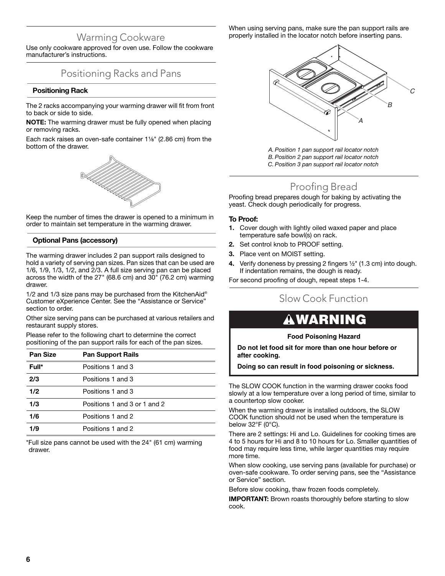### Warming Cookware

Use only cookware approved for oven use. Follow the cookware manufacturer's instructions.

### Positioning Racks and Pans

#### **Positioning Rack**

The 2 racks accompanying your warming drawer will fit from front to back or side to side.

**NOTE:** The warming drawer must be fully opened when placing or removing racks.

Each rack raises an oven-safe container  $1\frac{1}{8}$ " (2.86 cm) from the bottom of the drawer.



Keep the number of times the drawer is opened to a minimum in order to maintain set temperature in the warming drawer.

#### **Optional Pans (accessory)**

The warming drawer includes 2 pan support rails designed to hold a variety of serving pan sizes. Pan sizes that can be used are 1/6, 1/9, 1/3, 1/2, and 2/3. A full size serving pan can be placed across the width of the 27" (68.6 cm) and 30" (76.2 cm) warming drawer.

1/2 and 1/3 size pans may be purchased from the KitchenAid® Customer eXperience Center. See the "Assistance or Service" section to order.

Other size serving pans can be purchased at various retailers and restaurant supply stores.

Please refer to the following chart to determine the correct positioning of the pan support rails for each of the pan sizes.

| <b>Pan Size</b> | <b>Pan Support Rails</b>     |
|-----------------|------------------------------|
| Full*           | Positions 1 and 3            |
| 2/3             | Positions 1 and 3            |
| 1/2             | Positions 1 and 3            |
| 1/3             | Positions 1 and 3 or 1 and 2 |
| 1/6             | Positions 1 and 2            |
| 1/9             | Positions 1 and 2            |

\*Full size pans cannot be used with the 24" (61 cm) warming drawer.

When using serving pans, make sure the pan support rails are properly installed in the locator notch before inserting pans.



*A. Position 1 pan support rail locator notch B. Position 2 pan support rail locator notch C. Position 3 pan support rail locator notch*

### Proofing Bread

Proofing bread prepares dough for baking by activating the yeast. Check dough periodically for progress.

#### **To Proof:**

- **1.** Cover dough with lightly oiled waxed paper and place temperature safe bowl(s) on rack.
- **2.** Set control knob to PROOF setting.
- **3.** Place vent on MOIST setting.
- **4.** Verify doneness by pressing 2 fingers 1/2" (1.3 cm) into dough. If indentation remains, the dough is ready.

For second proofing of dough, repeat steps 1-4.

### Slow Cook Function

## **WARNING**

#### **Food Poisoning Hazard**

**Do not let food sit for more than one hour before or after cooking.**

**Doing so can result in food poisoning or sickness.**

The SLOW COOK function in the warming drawer cooks food slowly at a low temperature over a long period of time, similar to a countertop slow cooker.

When the warming drawer is installed outdoors, the SLOW COOK function should not be used when the temperature is below 32°F (0°C).

There are 2 settings: Hi and Lo. Guidelines for cooking times are 4 to 5 hours for Hi and 8 to 10 hours for Lo. Smaller quantities of food may require less time, while larger quantities may require more time.

When slow cooking, use serving pans (available for purchase) or oven-safe cookware. To order serving pans, see the "Assistance or Service" section.

Before slow cooking, thaw frozen foods completely.

**IMPORTANT:** Brown roasts thoroughly before starting to slow cook.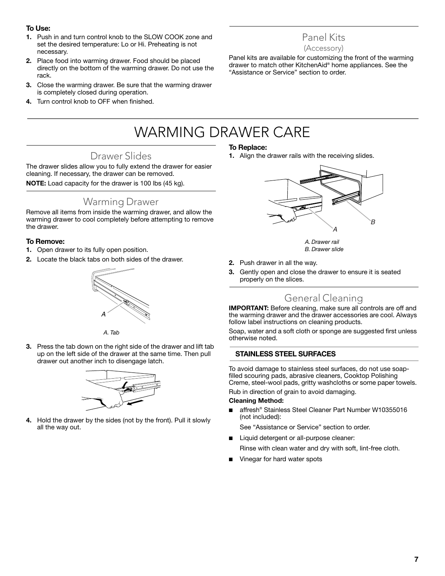#### **To Use:**

- **1.** Push in and turn control knob to the SLOW COOK zone and set the desired temperature: Lo or Hi. Preheating is not necessary.
- **2.** Place food into warming drawer. Food should be placed directly on the bottom of the warming drawer. Do not use the rack.
- **3.** Close the warming drawer. Be sure that the warming drawer is completely closed during operation.
- **4.** Turn control knob to OFF when finished.

Panel Kits (Accessory)

Panel kits are available for customizing the front of the warming drawer to match other KitchenAid® home appliances. See the "Assistance or Service" section to order.

## WARMING DRAWER CARE

### Drawer Slides

The drawer slides allow you to fully extend the drawer for easier cleaning. If necessary, the drawer can be removed. **NOTE:** Load capacity for the drawer is 100 lbs (45 kg).

### Warming Drawer

Remove all items from inside the warming drawer, and allow the warming drawer to cool completely before attempting to remove the drawer.

#### **To Remove:**

- **1.** Open drawer to its fully open position.
- **2.** Locate the black tabs on both sides of the drawer.



*A. Tab*

**3.** Press the tab down on the right side of the drawer and lift tab up on the left side of the drawer at the same time. Then pull drawer out another inch to disengage latch.



**4.** Hold the drawer by the sides (not by the front). Pull it slowly all the way out.

#### **To Replace:**

**1.** Align the drawer rails with the receiving slides.



*A. Drawer rail B. Drawer slide*

- **2.** Push drawer in all the way.
- **3.** Gently open and close the drawer to ensure it is seated properly on the slices.

### General Cleaning

**IMPORTANT:** Before cleaning, make sure all controls are off and the warming drawer and the drawer accessories are cool. Always follow label instructions on cleaning products.

Soap, water and a soft cloth or sponge are suggested first unless otherwise noted.

#### **STAINLESS STEEL SURFACES**

To avoid damage to stainless steel surfaces, do not use soapfilled scouring pads, abrasive cleaners, Cooktop Polishing Creme, steel-wool pads, gritty washcloths or some paper towels. Rub in direction of grain to avoid damaging.

#### **Cleaning Method:**

affresh® Stainless Steel Cleaner Part Number W10355016 (not included):

See "Assistance or Service" section to order.

Liquid detergent or all-purpose cleaner:

Rinse with clean water and dry with soft, lint-free cloth.

Vinegar for hard water spots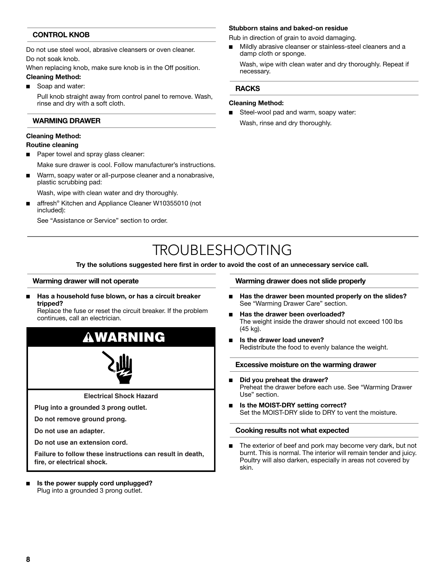#### **CONTROL KNOB**

Do not use steel wool, abrasive cleansers or oven cleaner. Do not soak knob.

When replacing knob, make sure knob is in the Off position.

#### **Cleaning Method:**

Soap and water:

Pull knob straight away from control panel to remove. Wash, rinse and dry with a soft cloth.

#### **WARMING DRAWER**

#### **Cleaning Method:**

#### **Routine cleaning**

- Paper towel and spray glass cleaner:
- Make sure drawer is cool. Follow manufacturer's instructions.
- Warm, soapy water or all-purpose cleaner and a nonabrasive, plastic scrubbing pad:

Wash, wipe with clean water and dry thoroughly.

affresh<sup>®</sup> Kitchen and Appliance Cleaner W10355010 (not included):

See "Assistance or Service" section to order.

#### **Stubborn stains and baked-on residue**

Rub in direction of grain to avoid damaging.

■ Mildly abrasive cleanser or stainless-steel cleaners and a damp cloth or sponge.

Wash, wipe with clean water and dry thoroughly. Repeat if necessary.

#### **RACKS**

#### **Cleaning Method:**

Steel-wool pad and warm, soapy water: Wash, rinse and dry thoroughly.

## TROUBLESHOOTING

**Try the solutions suggested here first in order to avoid the cost of an unnecessary service call.**

#### **Warming drawer will not operate**

Has a household fuse blown, or has a circuit breaker **tripped?**

Replace the fuse or reset the circuit breaker. If the problem continues, call an electrician.



**Electrical Shock Hazard**

**Plug into a grounded 3 prong outlet.**

**Do not remove ground prong.**

**Do not use an adapter.**

**Do not use an extension cord.**

**Failure to follow these instructions can result in death, fire, or electrical shock.**

Is the power supply cord unplugged? Plug into a grounded 3 prong outlet.

#### **Warming drawer does not slide properly**

- **Has the drawer been mounted properly on the slides?** See "Warming Drawer Care" section.
- **Has the drawer been overloaded?** The weight inside the drawer should not exceed 100 lbs (45 kg).
- **Is the drawer load uneven?** Redistribute the food to evenly balance the weight.

#### **Excessive moisture on the warming drawer**

- **Did you preheat the drawer?** Preheat the drawer before each use. See "Warming Drawer Use" section.
- **Is the MOIST-DRY setting correct?** Set the MOIST-DRY slide to DRY to vent the moisture.

#### **Cooking results not what expected**

■ The exterior of beef and pork may become very dark, but not burnt. This is normal. The interior will remain tender and juicy. Poultry will also darken, especially in areas not covered by skin.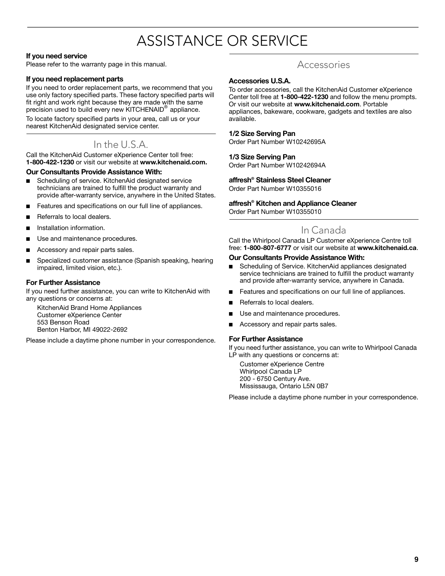## ASSISTANCE OR SERVICE

#### **If you need service**

Please refer to the warranty page in this manual.

#### **If you need replacement parts**

If you need to order replacement parts, we recommend that you use only factory specified parts. These factory specified parts will fit right and work right because they are made with the same precision used to build every new KITCHENAID® appliance.

To locate factory specified parts in your area, call us or your nearest KitchenAid designated service center.

### In the U.S.A.

Call the KitchenAid Customer eXperience Center toll free: **1-800-422-1230** or visit our website at **www.kitchenaid.com.**

#### **Our Consultants Provide Assistance With:**

- Scheduling of service. KitchenAid designated service technicians are trained to fulfill the product warranty and provide after-warranty service, anywhere in the United States.
- Features and specifications on our full line of appliances.
- Referrals to local dealers.
- Installation information.
- Use and maintenance procedures.
- Accessory and repair parts sales.
- Specialized customer assistance (Spanish speaking, hearing impaired, limited vision, etc.).

#### **For Further Assistance**

If you need further assistance, you can write to KitchenAid with any questions or concerns at:

KitchenAid Brand Home Appliances Customer eXperience Center 553 Benson Road Benton Harbor, MI 49022-2692

Please include a daytime phone number in your correspondence.

### Accessories

#### **Accessories U.S.A.**

To order accessories, call the KitchenAid Customer eXperience Center toll free at **1-800-422-1230** and follow the menu prompts. Or visit our website at **www.kitchenaid.com**. Portable appliances, bakeware, cookware, gadgets and textiles are also available.

#### **1/2 Size Serving Pan**

Order Part Number W10242695A

#### **1/3 Size Serving Pan**

Order Part Number W10242694A

#### **affresh® Stainless Steel Cleaner**

Order Part Number W10355016

#### **affresh® Kitchen and Appliance Cleaner**

Order Part Number W10355010

### In Canada

Call the Whirlpool Canada LP Customer eXperience Centre toll free: **1-800-807-6777** or visit our website at **www.kitchenaid.ca**.

#### **Our Consultants Provide Assistance With:**

- Scheduling of Service. KitchenAid appliances designated service technicians are trained to fulfill the product warranty and provide after-warranty service, anywhere in Canada.
- Features and specifications on our full line of appliances.
- Referrals to local dealers.
- Use and maintenance procedures.
- Accessory and repair parts sales.

#### **For Further Assistance**

If you need further assistance, you can write to Whirlpool Canada LP with any questions or concerns at:

Customer eXperience Centre Whirlpool Canada LP 200 - 6750 Century Ave. Mississauga, Ontario L5N 0B7

Please include a daytime phone number in your correspondence.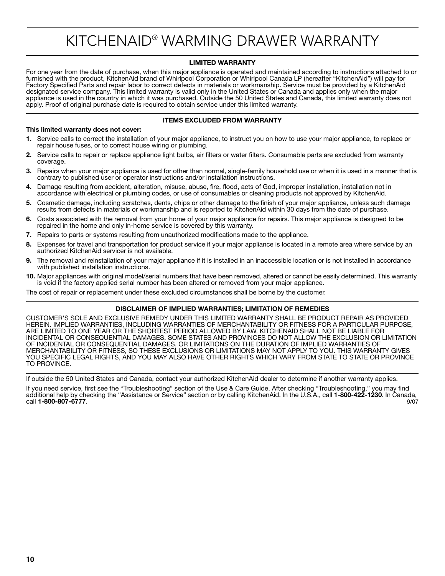## KITCHENAID® WARMING DRAWER WARRANTY

#### **LIMITED WARRANTY**

For one year from the date of purchase, when this major appliance is operated and maintained according to instructions attached to or furnished with the product, KitchenAid brand of Whirlpool Corporation or Whirlpool Canada LP (hereafter "KitchenAid") will pay for Factory Specified Parts and repair labor to correct defects in materials or workmanship. Service must be provided by a KitchenAid designated service company. This limited warranty is valid only in the United States or Canada and applies only when the major appliance is used in the country in which it was purchased. Outside the 50 United States and Canada, this limited warranty does not apply. Proof of original purchase date is required to obtain service under this limited warranty.

#### **ITEMS EXCLUDED FROM WARRANTY**

#### **This limited warranty does not cover:**

- **1.** Service calls to correct the installation of your major appliance, to instruct you on how to use your major appliance, to replace or repair house fuses, or to correct house wiring or plumbing.
- **2.** Service calls to repair or replace appliance light bulbs, air filters or water filters. Consumable parts are excluded from warranty coverage.
- **3.** Repairs when your major appliance is used for other than normal, single-family household use or when it is used in a manner that is contrary to published user or operator instructions and/or installation instructions.
- **4.** Damage resulting from accident, alteration, misuse, abuse, fire, flood, acts of God, improper installation, installation not in accordance with electrical or plumbing codes, or use of consumables or cleaning products not approved by KitchenAid.
- **5.** Cosmetic damage, including scratches, dents, chips or other damage to the finish of your major appliance, unless such damage results from defects in materials or workmanship and is reported to KitchenAid within 30 days from the date of purchase.
- **6.** Costs associated with the removal from your home of your major appliance for repairs. This major appliance is designed to be repaired in the home and only in-home service is covered by this warranty.
- **7.** Repairs to parts or systems resulting from unauthorized modifications made to the appliance.
- **8.** Expenses for travel and transportation for product service if your major appliance is located in a remote area where service by an authorized KitchenAid servicer is not available.
- **9.** The removal and reinstallation of your major appliance if it is installed in an inaccessible location or is not installed in accordance with published installation instructions.
- **10.** Major appliances with original model/serial numbers that have been removed, altered or cannot be easily determined. This warranty is void if the factory applied serial number has been altered or removed from your major appliance.

The cost of repair or replacement under these excluded circumstances shall be borne by the customer.

#### **DISCLAIMER OF IMPLIED WARRANTIES; LIMITATION OF REMEDIES**

CUSTOMER'S SOLE AND EXCLUSIVE REMEDY UNDER THIS LIMITED WARRANTY SHALL BE PRODUCT REPAIR AS PROVIDED HEREIN. IMPLIED WARRANTIES, INCLUDING WARRANTIES OF MERCHANTABILITY OR FITNESS FOR A PARTICULAR PURPOSE, ARE LIMITED TO ONE YEAR OR THE SHORTEST PERIOD ALLOWED BY LAW. KITCHENAID SHALL NOT BE LIABLE FOR INCIDENTAL OR CONSEQUENTIAL DAMAGES. SOME STATES AND PROVINCES DO NOT ALLOW THE EXCLUSION OR LIMITATION OF INCIDENTAL OR CONSEQUENTIAL DAMAGES, OR LIMITATIONS ON THE DURATION OF IMPLIED WARRANTIES OF MERCHANTABILITY OR FITNESS, SO THESE EXCLUSIONS OR LIMITATIONS MAY NOT APPLY TO YOU. THIS WARRANTY GIVES YOU SPECIFIC LEGAL RIGHTS, AND YOU MAY ALSO HAVE OTHER RIGHTS WHICH VARY FROM STATE TO STATE OR PROVINCE TO PROVINCE.

If outside the 50 United States and Canada, contact your authorized KitchenAid dealer to determine if another warranty applies. If you need service, first see the "Troubleshooting" section of the Use & Care Guide. After checking "Troubleshooting," you may find additional help by checking the "Assistance or Service" section or by calling KitchenAid. In the U.S.A., call **1-800-422-1230**. In Canada, **call 1-800-807-6777.** 9/07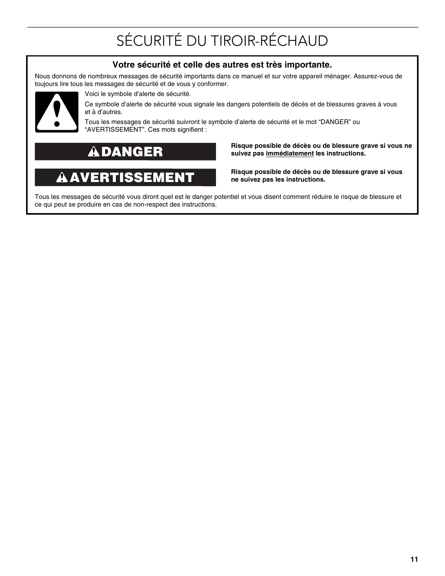# SÉCURITÉ DU TIROIR-RÉCHAUD

### **Votre sécurité et celle des autres est très importante.**

Nous donnons de nombreux messages de sécurité importants dans ce manuel et sur votre appareil ménager. Assurez-vous de toujours lire tous les messages de sécurité et de vous y conformer.



Voici le symbole d'alerte de sécurité.

Ce symbole d'alerte de sécurité vous signale les dangers potentiels de décès et de blessures graves à vous et à d'autres.

Tous les messages de sécurité suivront le symbole d'alerte de sécurité et le mot "DANGER" ou "AVERTISSEMENT". Ces mots signifient :

## **DANGER**

#### $\boldsymbol{\Lambda}$ **AVERTISSEMENT**

**Risque possible de décès ou de blessure grave si vous ne suivez pas immédiatement les instructions.** 

**Risque possible de décès ou de blessure grave si vous ne suivez pas les instructions.** 

Tous les messages de sécurité vous diront quel est le danger potentiel et vous disent comment réduire le risque de blessure et ce qui peut se produire en cas de non-respect des instructions.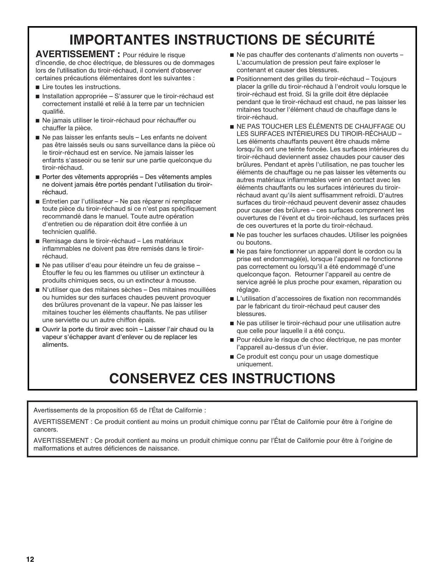## **IMPORTANTES INSTRUCTIONS DE SÉCURITÉ**

**AVERTISSEMENT :** Pour réduire le risque d'incendie, de choc électrique, de blessures ou de dommages lors de l'utilisation du tiroir-réchaud, il convient d'observer certaines précautions élémentaires dont les suivantes :

- Lire toutes les instructions.
- Installation appropriée S'assurer que le tiroir-réchaud est correctement installé et relié à la terre par un technicien qualifié.
- Ne jamais utiliser le tiroir-réchaud pour réchauffer ou chauffer la pièce.
- Ne pas laisser les enfants seuls Les enfants ne doivent pas être laissés seuls ou sans surveillance dans la pièce où le tiroir-réchaud est en service. Ne jamais laisser les enfants s'asseoir ou se tenir sur une partie quelconque du tiroir-réchaud.
- Porter des vêtements appropriés Des vêtements amples ne doivent jamais être portés pendant l'utilisation du tiroirréchaud.
- Entretien par l'utilisateur Ne pas réparer ni remplacer toute pièce du tiroir-réchaud si ce n'est pas spécifiquement recommandé dans le manuel. Toute autre opération d'entretien ou de réparation doit être confiée à un technicien qualifié.
- Remisage dans le tiroir-réchaud Les matériaux inflammables ne doivent pas être remisés dans le tiroirréchaud.
- Ne pas utiliser d'eau pour éteindre un feu de graisse Étouffer le feu ou les flammes ou utiliser un extincteur à produits chimiques secs, ou un extincteur à mousse.
- N'utiliser que des mitaines sèches Des mitaines mouillées ou humides sur des surfaces chaudes peuvent provoquer des brûlures provenant de la vapeur. Ne pas laisser les mitaines toucher les éléments chauffants. Ne pas utiliser une serviette ou un autre chiffon épais.
- Ouvrir la porte du tiroir avec soin Laisser l'air chaud ou la vapeur s'échapper avant d'enlever ou de replacer les aliments.
- Ne pas chauffer des contenants d'aliments non ouverts L'accumulation de pression peut faire exploser le contenant et causer des blessures.
- Positionnement des grilles du tiroir-réchaud Toujours placer la grille du tiroir-réchaud à l'endroit voulu lorsque le tiroir-réchaud est froid. Si la grille doit être déplacée pendant que le tiroir-réchaud est chaud, ne pas laisser les mitaines toucher l'élément chaud de chauffage dans le tiroir-réchaud.
- NE PAS TOUCHER LES ÉLÉMENTS DE CHAUFFAGE OU LES SURFACES INTÉRIEURES DU TIROIR-RÉCHAUD – Les éléments chauffants peuvent être chauds même lorsqu'ils ont une teinte foncée. Les surfaces intérieures du tiroir-réchaud deviennent assez chaudes pour causer des brûlures. Pendant et après l'utilisation, ne pas toucher les éléments de chauffage ou ne pas laisser les vêtements ou autres matériaux inflammables venir en contact avec les éléments chauffants ou les surfaces intérieures du tiroirréchaud avant qu'ils aient suffisamment refroidi. D'autres surfaces du tiroir-réchaud peuvent devenir assez chaudes pour causer des brûlures – ces surfaces comprennent les ouvertures de l'évent et du tiroir-réchaud, les surfaces près de ces ouvertures et la porte du tiroir-réchaud.
- Ne pas toucher les surfaces chaudes. Utiliser les poignées ou boutons.
- Ne pas faire fonctionner un appareil dont le cordon ou la prise est endommagé(e), lorsque l'appareil ne fonctionne pas correctement ou lorsqu'il a été endommagé d'une quelconque façon. Retourner l'appareil au centre de service agréé le plus proche pour examen, réparation ou réglage.
- L'utilisation d'accessoires de fixation non recommandés par le fabricant du tiroir-réchaud peut causer des blessures.
- Ne pas utiliser le tiroir-réchaud pour une utilisation autre que celle pour laquelle il a été conçu.
- Pour réduire le risque de choc électrique, ne pas monter l'appareil au-dessus d'un évier.
- Ce produit est conçu pour un usage domestique uniquement.

## **CONSERVEZ CES INSTRUCTIONS**

Avertissements de la proposition 65 de l'État de Californie :

AVERTISSEMENT : Ce produit contient au moins un produit chimique connu par l'État de Californie pour être à l'origine de cancers.

AVERTISSEMENT : Ce produit contient au moins un produit chimique connu par l'État de Californie pour être à l'origine de malformations et autres déficiences de naissance.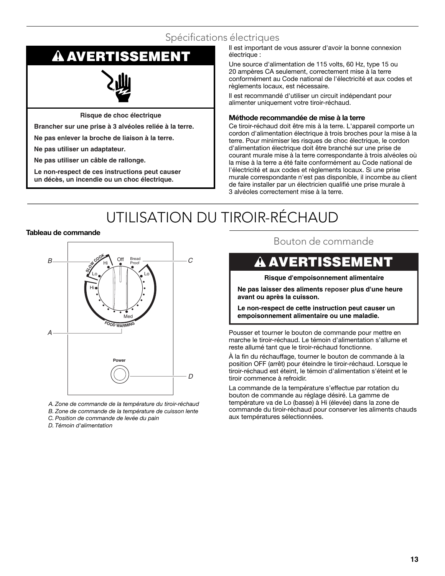### Spécifications électriques

## **A AVERTISSEMENT**

**Risque de choc électrique**

**Brancher sur une prise à 3 alvéoles reliée à la terre.**

**Ne pas enlever la broche de liaison à la terre.**

**Ne pas utiliser un adaptateur.**

**Ne pas utiliser un câble de rallonge.**

**Le non-respect de ces instructions peut causer un décès, un incendie ou un choc électrique.**

Il est important de vous assurer d'avoir la bonne connexion électrique :

Une source d'alimentation de 115 volts, 60 Hz, type 15 ou 20 ampères CA seulement, correctement mise à la terre conformément au Code national de l'électricité et aux codes et règlements locaux, est nécessaire.

Il est recommandé d'utiliser un circuit indépendant pour alimenter uniquement votre tiroir-réchaud.

#### **Méthode recommandée de mise à la terre**

Ce tiroir-réchaud doit être mis à la terre. L'appareil comporte un cordon d'alimentation électrique à trois broches pour la mise à la terre. Pour minimiser les risques de choc électrique, le cordon d'alimentation électrique doit être branché sur une prise de courant murale mise à la terre correspondante à trois alvéoles où la mise à la terre a été faite conformément au Code national de l'électricité et aux codes et règlements locaux. Si une prise murale correspondante n'est pas disponible, il incombe au client de faire installer par un électricien qualifié une prise murale à 3 alvéoles correctement mise à la terre.

## UTILISATION DU TIROIR-RÉCHAUD

#### **Tableau de commande**



*A. Zone de commande de la température du tiroir-réchaud*

*B. Zone de commande de la température de cuisson lente*

*C. Position de commande de levée du pain*

*D. Témoin d'alimentation*

Bouton de commande

#### **AVERTISSEMENT**  $\boldsymbol{\Lambda}$

#### **Risque d'empoisonnement alimentaire**

**Ne pas laisser des aliments reposer plus d'une heure avant ou après la cuisson.**

**Le non-respect de cette instruction peut causer un empoisonnement alimentaire ou une maladie.**

Pousser et tourner le bouton de commande pour mettre en marche le tiroir-réchaud. Le témoin d'alimentation s'allume et reste allumé tant que le tiroir-réchaud fonctionne.

À la fin du réchauffage, tourner le bouton de commande à la position OFF (arrêt) pour éteindre le tiroir-réchaud. Lorsque le tiroir-réchaud est éteint, le témoin d'alimentation s'éteint et le tiroir commence à refroidir.

La commande de la température s'effectue par rotation du bouton de commande au réglage désiré. La gamme de température va de Lo (basse) à Hi (élevée) dans la zone de commande du tiroir-réchaud pour conserver les aliments chauds aux températures sélectionnées.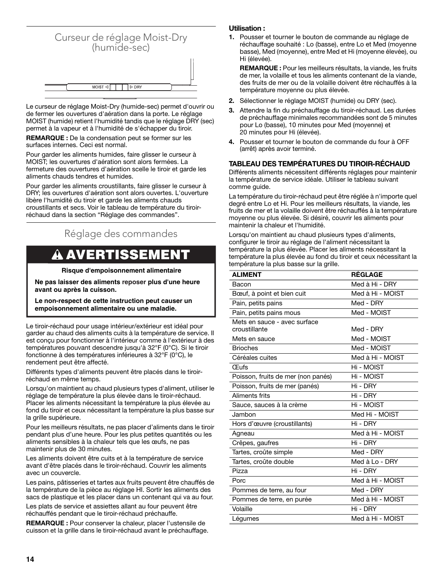# Curseur de réglage Moist-Dry (humide-sec)

Le curseur de réglage Moist-Dry (humide-sec) permet d'ouvrir ou de fermer les ouvertures d'aération dans la porte. Le réglage MOIST (humide) retient l'humidité tandis que le réglage DRY (sec) permet à la vapeur et à l'humidité de s'échapper du tiroir.

**REMARQUE :** De la condensation peut se former sur les surfaces internes. Ceci est normal.

Pour garder les aliments humides, faire glisser le curseur à MOIST; les ouvertures d'aération sont alors fermées. La fermeture des ouvertures d'aération scelle le tiroir et garde les aliments chauds tendres et humides.

Pour garder les aliments croustillants, faire glisser le curseur à DRY; les ouvertures d'aération sont alors ouvertes. L'ouverture libère l'humidité du tiroir et garde les aliments chauds croustillants et secs. Voir le tableau de température du tiroirréchaud dans la section "Réglage des commandes".

### Réglage des commandes

#### $\blacktriangle$ **AVERTISSEMENT**

**Risque d'empoisonnement alimentaire**

**Ne pas laisser des aliments reposer plus d'une heure avant ou après la cuisson.**

**Le non-respect de cette instruction peut causer un empoisonnement alimentaire ou une maladie.**

Le tiroir-réchaud pour usage intérieur/extérieur est idéal pour garder au chaud des aliments cuits à la température de service. Il est conçu pour fonctionner à l'intérieur comme à l'extérieur à des températures pouvant descendre jusqu'à 32°F (0°C). Si le tiroir fonctionne à des températures inférieures à 32°F (0°C), le rendement peut être affecté.

Différents types d'aliments peuvent être placés dans le tiroirréchaud en même temps.

Lorsqu'on maintient au chaud plusieurs types d'aliment, utiliser le réglage de température la plus élevée dans le tiroir-réchaud. Placer les aliments nécessitant la température la plus élevée au fond du tiroir et ceux nécessitant la température la plus basse sur la grille supérieure.

Pour les meilleurs résultats, ne pas placer d'aliments dans le tiroir pendant plus d'une heure. Pour les plus petites quantités ou les aliments sensibles à la chaleur tels que les œufs, ne pas maintenir plus de 30 minutes.

Les aliments doivent être cuits et à la température de service avant d'être placés dans le tiroir-réchaud. Couvrir les aliments avec un couvercle.

Les pains, pâtisseries et tartes aux fruits peuvent être chauffés de la température de la pièce au réglage HI. Sortir les aliments des sacs de plastique et les placer dans un contenant qui va au four.

Les plats de service et assiettes allant au four peuvent être réchauffés pendant que le tiroir-réchaud préchauffe.

**REMARQUE :** Pour conserver la chaleur, placer l'ustensile de cuisson et la grille dans le tiroir-réchaud avant le préchauffage.

#### **Utilisation :**

**1.** Pousser et tourner le bouton de commande au réglage de réchauffage souhaité : Lo (basse), entre Lo et Med (moyenne basse), Med (moyenne), entre Med et Hi (moyenne élevée), ou Hi (élevée).

**REMARQUE :** Pour les meilleurs résultats, la viande, les fruits de mer, la volaille et tous les aliments contenant de la viande, des fruits de mer ou de la volaille doivent être réchauffés à la température moyenne ou plus élevée.

- **2.** Sélectionner le réglage MOIST (humide) ou DRY (sec).
- **3.** Attendre la fin du préchauffage du tiroir-réchaud. Les durées de préchauffage minimales recommandées sont de 5 minutes pour Lo (basse), 10 minutes pour Med (moyenne) et 20 minutes pour Hi (élevée).
- **4.** Pousser et tourner le bouton de commande du four à OFF (arrêt) après avoir terminé.

#### **TABLEAU DES TEMPÉRATURES DU TIROIR-RÉCHAUD**

Différents aliments nécessitent différents réglages pour maintenir la température de service idéale. Utiliser le tableau suivant comme guide.

La température du tiroir-réchaud peut être réglée à n'importe quel degré entre Lo et Hi. Pour les meilleurs résultats, la viande, les fruits de mer et la volaille doivent être réchauffés à la température moyenne ou plus élevée. Si désiré, couvrir les aliments pour maintenir la chaleur et l'humidité.

Lorsqu'on maintient au chaud plusieurs types d'aliments, configurer le tiroir au réglage de l'aliment nécessitant la température la plus élevée. Placer les aliments nécessitant la température la plus élevée au fond du tiroir et ceux nécessitant la température la plus basse sur la grille.

| <b>ALIMENT</b>                                | <b>RÉGLAGE</b>   |
|-----------------------------------------------|------------------|
| Bacon                                         | Med à Hi - DRY   |
| Bœuf, à point et bien cuit                    | Med à Hi - MOIST |
| Pain, petits pains                            | Med - DRY        |
| Pain, petits pains mous                       | Med - MOIST      |
| Mets en sauce - avec surface<br>croustillante | Med - DRY        |
| Mets en sauce                                 | Med - MOIST      |
| <b>Brioches</b>                               | Med - MOIST      |
| Céréales cuites                               | Med à Hi - MOIST |
| Œufs                                          | Hi - MOIST       |
| Poisson, fruits de mer (non panés)            | Hi - MOIST       |
| Poisson, fruits de mer (panés)                | Hi - DRY         |
| Aliments frits                                | Hi - DRY         |
| Sauce, sauces à la crème                      | Hi - MOIST       |
| Jambon                                        | Med Hi - MOIST   |
| Hors d'œuvre (croustillants)                  | Hi - DRY         |
| Agneau                                        | Med à Hi - MOIST |
| Crêpes, gaufres                               | Hi - DRY         |
| Tartes, croûte simple                         | Med - DRY        |
| Tartes, croûte double                         | Med à Lo - DRY   |
| Pizza                                         | Hi - DRY         |
| Porc                                          | Med à Hi - MOIST |
| Pommes de terre, au four                      | Med - DRY        |
| Pommes de terre, en purée                     | Med à Hi - MOIST |
| Volaille                                      | Hi - DRY         |
| Légumes                                       | Med à Hi - MOIST |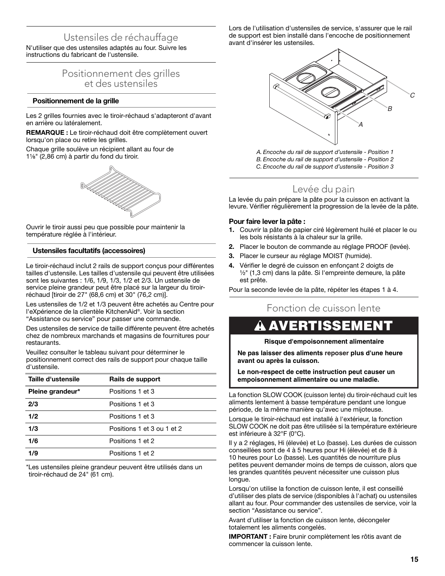### Ustensiles de réchauffage

N'utiliser que des ustensiles adaptés au four. Suivre les instructions du fabricant de l'ustensile.

### Positionnement des grilles et des ustensiles

#### **Positionnement de la grille**

Les 2 grilles fournies avec le tiroir-réchaud s'adapteront d'avant en arrière ou latéralement.

**REMARQUE :** Le tiroir-réchaud doit être complètement ouvert lorsqu'on place ou retire les grilles.

Chaque grille soulève un récipient allant au four de 1<sup>1</sup>/<sub>8</sub>" (2,86 cm) à partir du fond du tiroir.

Ouvrir le tiroir aussi peu que possible pour maintenir la température réglée à l'intérieur.

#### **Ustensiles facultatifs (accessoires)**

Le tiroir-réchaud inclut 2 rails de support conçus pour différentes tailles d'ustensile. Les tailles d'ustensile qui peuvent être utilisées sont les suivantes : 1/6, 1/9, 1/3, 1/2 et 2/3. Un ustensile de service pleine grandeur peut être placé sur la largeur du tiroirréchaud [tiroir de 27" (68,6 cm) et 30" (76,2 cm)].

Les ustensiles de 1/2 et 1/3 peuvent être achetés au Centre pour l'eXpérience de la clientèle KitchenAid®. Voir la section "Assistance ou service" pour passer une commande.

Des ustensiles de service de taille différente peuvent être achetés chez de nombreux marchands et magasins de fournitures pour restaurants.

Veuillez consulter le tableau suivant pour déterminer le positionnement correct des rails de support pour chaque taille d'ustensile.

| Taille d'ustensile | Rails de support           |
|--------------------|----------------------------|
| Pleine grandeur*   | Positions 1 et 3           |
| 2/3                | Positions 1 et 3           |
| 1/2                | Positions 1 et 3           |
| 1/3                | Positions 1 et 3 ou 1 et 2 |
| 1/6                | Positions 1 et 2           |
| 1/9                | Positions 1 et 2           |

\*Les ustensiles pleine grandeur peuvent être utilisés dans un tiroir-réchaud de 24" (61 cm).

Lors de l'utilisation d'ustensiles de service, s'assurer que le rail de support est bien installé dans l'encoche de positionnement avant d'insérer les ustensiles.



*A. Encoche du rail de support d'ustensile - Position 1 B. Encoche du rail de support d'ustensile - Position 2*

*C. Encoche du rail de support d'ustensile - Position 3*

### Levée du pain

La levée du pain prépare la pâte pour la cuisson en activant la levure. Vérifier régulièrement la progression de la levée de la pâte.

#### **Pour faire lever la pâte :**

- **1.** Couvrir la pâte de papier ciré légèrement huilé et placer le ou les bols résistants à la chaleur sur la grille.
- **2.** Placer le bouton de commande au réglage PROOF (levée).
- **3.** Placer le curseur au réglage MOIST (humide).
- **4.** Vérifier le degré de cuisson en enfonçant 2 doigts de 1/2" (1,3 cm) dans la pâte. Si l'empreinte demeure, la pâte est prête.

Pour la seconde levée de la pâte, répéter les étapes 1 à 4.

### Fonction de cuisson lente

## **AVERTISSEMEN**

**Risque d'empoisonnement alimentaire**

**Ne pas laisser des aliments reposer plus d'une heure avant ou après la cuisson.**

**Le non-respect de cette instruction peut causer un empoisonnement alimentaire ou une maladie.**

La fonction SLOW COOK (cuisson lente) du tiroir-réchaud cuit les aliments lentement à basse température pendant une longue période, de la même manière qu'avec une mijoteuse.

Lorsque le tiroir-réchaud est installé à l'extérieur, la fonction SLOW COOK ne doit pas être utilisée si la température extérieure est inférieure à 32°F (0°C).

Il y a 2 réglages, Hi (élevée) et Lo (basse). Les durées de cuisson conseillées sont de 4 à 5 heures pour Hi (élevée) et de 8 à 10 heures pour Lo (basse). Les quantités de nourriture plus petites peuvent demander moins de temps de cuisson, alors que les grandes quantités peuvent nécessiter une cuisson plus longue.

Lorsqu'on utilise la fonction de cuisson lente, il est conseillé d'utiliser des plats de service (disponibles à l'achat) ou ustensiles allant au four. Pour commander des ustensiles de service, voir la section "Assistance ou service".

Avant d'utiliser la fonction de cuisson lente, décongeler totalement les aliments congelés.

**IMPORTANT :** Faire brunir complètement les rôtis avant de commencer la cuisson lente.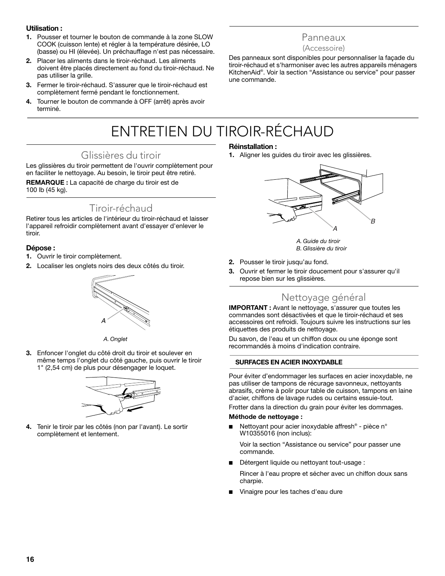#### **Utilisation :**

- **1.** Pousser et tourner le bouton de commande à la zone SLOW COOK (cuisson lente) et régler à la température désirée, LO (basse) ou HI (élevée). Un préchauffage n'est pas nécessaire.
- **2.** Placer les aliments dans le tiroir-réchaud. Les aliments doivent être placés directement au fond du tiroir-réchaud. Ne pas utiliser la grille.
- **3.** Fermer le tiroir-réchaud. S'assurer que le tiroir-réchaud est complètement fermé pendant le fonctionnement.
- **4.** Tourner le bouton de commande à OFF (arrêt) après avoir terminé.

### Panneaux (Accessoire)

Des panneaux sont disponibles pour personnaliser la façade du tiroir-réchaud et s'harmoniser avec les autres appareils ménagers KitchenAid®. Voir la section "Assistance ou service" pour passer

## ENTRETIEN DU TIROIR-RÉCHAUD

### Glissières du tiroir

Les glissières du tiroir permettent de l'ouvrir complètement pour en faciliter le nettoyage. Au besoin, le tiroir peut être retiré.

**REMARQUE :** La capacité de charge du tiroir est de 100 lb (45 kg).

### Tiroir-réchaud

Retirer tous les articles de l'intérieur du tiroir-réchaud et laisser l'appareil refroidir complètement avant d'essayer d'enlever le tiroir.

#### **Dépose :**

- **1.** Ouvrir le tiroir complètement.
- **2.** Localiser les onglets noirs des deux côtés du tiroir.



*A. Onglet*

**3.** Enfoncer l'onglet du côté droit du tiroir et soulever en même temps l'onglet du côté gauche, puis ouvrir le tiroir 1" (2,54 cm) de plus pour désengager le loquet.



**4.** Tenir le tiroir par les côtés (non par l'avant). Le sortir complètement et lentement.

#### **Réinstallation :**

une commande.

**1.** Aligner les guides du tiroir avec les glissières.



*A. Guide du tiroir B. Glissière du tiroir*

- **2.** Pousser le tiroir jusqu'au fond.
- **3.** Ouvrir et fermer le tiroir doucement pour s'assurer qu'il repose bien sur les glissières.

### Nettoyage général

**IMPORTANT :** Avant le nettoyage, s'assurer que toutes les commandes sont désactivées et que le tiroir-réchaud et ses accessoires ont refroidi. Toujours suivre les instructions sur les étiquettes des produits de nettoyage.

Du savon, de l'eau et un chiffon doux ou une éponge sont recommandés à moins d'indication contraire.

#### **SURFACES EN ACIER INOXYDABLE**

Pour éviter d'endommager les surfaces en acier inoxydable, ne pas utiliser de tampons de récurage savonneux, nettoyants abrasifs, crème à polir pour table de cuisson, tampons en laine d'acier, chiffons de lavage rudes ou certains essuie-tout.

Frotter dans la direction du grain pour éviter les dommages.

#### **Méthode de nettoyage :**

■ Nettoyant pour acier inoxydable affresh<sup>®</sup> - pièce n° W10355016 (non inclus):

Voir la section "Assistance ou service" pour passer une commande.

■ Détergent liquide ou nettoyant tout-usage :

Rincer à l'eau propre et sécher avec un chiffon doux sans charpie.

Vinaigre pour les taches d'eau dure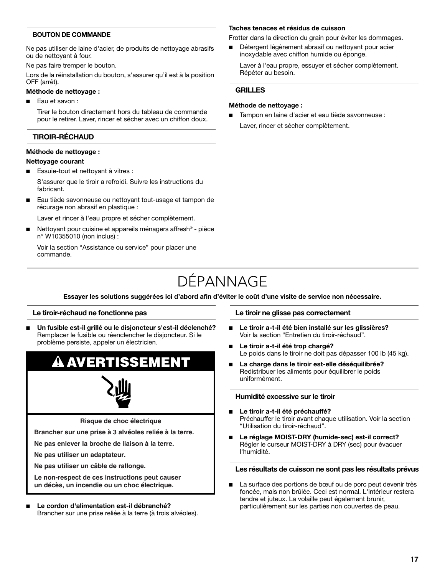#### **BOUTON DE COMMANDE**

Ne pas utiliser de laine d'acier, de produits de nettoyage abrasifs ou de nettoyant à four.

Ne pas faire tremper le bouton.

Lors de la réinstallation du bouton, s'assurer qu'il est à la position OFF (arrêt).

#### **Méthode de nettoyage :**

Eau et savon :

Tirer le bouton directement hors du tableau de commande pour le retirer. Laver, rincer et sécher avec un chiffon doux.

#### **TIROIR-RÉCHAUD**

#### **Méthode de nettoyage :**

#### **Nettoyage courant**

Essuie-tout et nettoyant à vitres :

S'assurer que le tiroir a refroidi. Suivre les instructions du fabricant.

Eau tiède savonneuse ou nettoyant tout-usage et tampon de récurage non abrasif en plastique :

Laver et rincer à l'eau propre et sécher complètement.

Nettoyant pour cuisine et appareils ménagers affresh<sup>®</sup> - pièce n° W10355010 (non inclus) :

Voir la section "Assistance ou service" pour placer une commande.

#### **Taches tenaces et résidus de cuisson**

Frotter dans la direction du grain pour éviter les dommages.

Détergent légèrement abrasif ou nettoyant pour acier inoxydable avec chiffon humide ou éponge.

Laver à l'eau propre, essuyer et sécher complètement. Répéter au besoin.

#### **GRILLES**

#### **Méthode de nettoyage :**

Tampon en laine d'acier et eau tiède savonneuse : Laver, rincer et sécher complètement.

## DÉPANNAGE

**Essayer les solutions suggérées ici d'abord afin d'éviter le coût d'une visite de service non nécessaire.**

#### **Le tiroir-réchaud ne fonctionne pas**

Un fusible est-il grillé ou le disjoncteur s'est-il déclenché? Remplacer le fusible ou réenclencher le disjoncteur. Si le problème persiste, appeler un électricien.

### **AVERTISSEMENT**



**Risque de choc électrique**

**Brancher sur une prise à 3 alvéoles reliée à la terre.**

**Ne pas enlever la broche de liaison à la terre.**

**Ne pas utiliser un adaptateur.**

**Ne pas utiliser un câble de rallonge.**

**Le non-respect de ces instructions peut causer** 

**un décès, un incendie ou un choc électrique.**

Le cordon d'alimentation est-il débranché? Brancher sur une prise reliée à la terre (à trois alvéoles).

#### **Le tiroir ne glisse pas correctement**

- Le tiroir a-t-il été bien installé sur les glissières? Voir la section "Entretien du tiroir-réchaud".
- Le tiroir a-t-il été trop chargé? Le poids dans le tiroir ne doit pas dépasser 100 lb (45 kg).
- La charge dans le tiroir est-elle déséquilibrée? Redistribuer les aliments pour équilibrer le poids uniformément.

#### **Humidité excessive sur le tiroir**

- Le tiroir a-t-il été préchauffé? Préchauffer le tiroir avant chaque utilisation. Voir la section "Utilisation du tiroir-réchaud".
- Le réglage MOIST-DRY (humide-sec) est-il correct? Régler le curseur MOIST-DRY à DRY (sec) pour évacuer l'humidité.

#### **Les résultats de cuisson ne sont pas les résultats prévus**

La surface des portions de bœuf ou de porc peut devenir très foncée, mais non brûlée. Ceci est normal. L'intérieur restera tendre et juteux. La volaille peut également brunir, particulièrement sur les parties non couvertes de peau.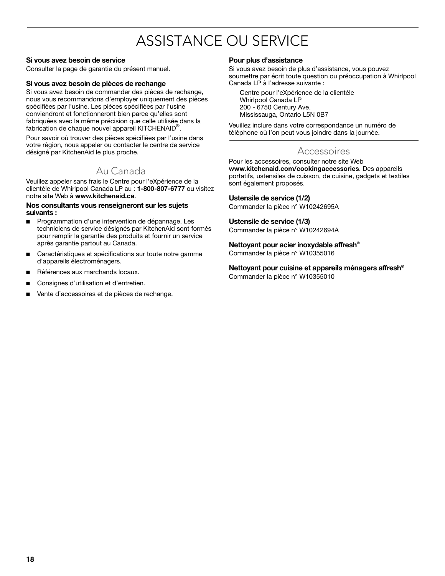## ASSISTANCE OU SERVICE

#### **Si vous avez besoin de service**

Consulter la page de garantie du présent manuel.

#### **Si vous avez besoin de pièces de rechange**

Si vous avez besoin de commander des pièces de rechange, nous vous recommandons d'employer uniquement des pièces spécifiées par l'usine. Les pièces spécifiées par l'usine conviendront et fonctionneront bien parce qu'elles sont fabriquées avec la même précision que celle utilisée dans la fabrication de chaque nouvel appareil KITCHENAID®.

Pour savoir où trouver des pièces spécifiées par l'usine dans votre région, nous appeler ou contacter le centre de service désigné par KitchenAid le plus proche.

### Au Canada

Veuillez appeler sans frais le Centre pour l'eXpérience de la clientèle de Whirlpool Canada LP au : **1-800-807-6777** ou visitez notre site Web à **www.kitchenaid.ca**.

#### **Nos consultants vous renseigneront sur les sujets suivants :**

- Programmation d'une intervention de dépannage. Les techniciens de service désignés par KitchenAid sont formés pour remplir la garantie des produits et fournir un service après garantie partout au Canada.
- Caractéristiques et spécifications sur toute notre gamme d'appareils électroménagers.
- Références aux marchands locaux.
- Consignes d'utilisation et d'entretien.
- Vente d'accessoires et de pièces de rechange.

#### **Pour plus d'assistance**

Si vous avez besoin de plus d'assistance, vous pouvez soumettre par écrit toute question ou préoccupation à Whirlpool Canada LP à l'adresse suivante :

Centre pour l'eXpérience de la clientèle Whirlpool Canada LP 200 - 6750 Century Ave. Mississauga, Ontario L5N 0B7

Veuillez inclure dans votre correspondance un numéro de téléphone où l'on peut vous joindre dans la journée.

### Accessoires

Pour les accessoires, consulter notre site Web **www.kitchenaid.com/cookingaccessories**. Des appareils portatifs, ustensiles de cuisson, de cuisine, gadgets et textiles sont également proposés.

#### **Ustensile de service (1/2)**

Commander la pièce n° W10242695A

#### **Ustensile de service (1/3)**

Commander la pièce n° W10242694A

#### **Nettoyant pour acier inoxydable affresh®**

Commander la pièce n° W10355016

**Nettoyant pour cuisine et appareils ménagers affresh®** Commander la pièce n° W10355010